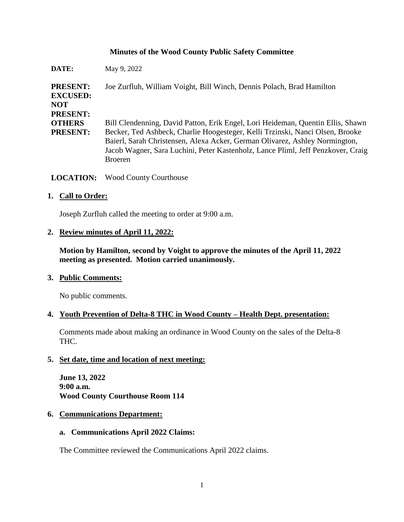## **Minutes of the Wood County Public Safety Committee**

| DATE:                                                               | May 9, 2022                                                                                                                                                                                                                                                                                                                                           |
|---------------------------------------------------------------------|-------------------------------------------------------------------------------------------------------------------------------------------------------------------------------------------------------------------------------------------------------------------------------------------------------------------------------------------------------|
| <b>PRESENT:</b><br><b>EXCUSED:</b><br><b>NOT</b><br><b>PRESENT:</b> | Joe Zurfluh, William Voight, Bill Winch, Dennis Polach, Brad Hamilton                                                                                                                                                                                                                                                                                 |
| <b>OTHERS</b><br><b>PRESENT:</b>                                    | Bill Clendenning, David Patton, Erik Engel, Lori Heideman, Quentin Ellis, Shawn<br>Becker, Ted Ashbeck, Charlie Hoogesteger, Kelli Trzinski, Nanci Olsen, Brooke<br>Baierl, Sarah Christensen, Alexa Acker, German Olivarez, Ashley Normington,<br>Jacob Wagner, Sara Luchini, Peter Kastenholz, Lance Pliml, Jeff Penzkover, Craig<br><b>Broeren</b> |

**LOCATION:** Wood County Courthouse

### **1. Call to Order:**

Joseph Zurfluh called the meeting to order at 9:00 a.m.

### **2. Review minutes of April 11, 2022:**

**Motion by Hamilton, second by Voight to approve the minutes of the April 11, 2022 meeting as presented. Motion carried unanimously.**

### **3. Public Comments:**

No public comments.

### **4. Youth Prevention of Delta-8 THC in Wood County – Health Dept. presentation:**

Comments made about making an ordinance in Wood County on the sales of the Delta-8 THC.

### **5. Set date, time and location of next meeting:**

**June 13, 2022 9:00 a.m. Wood County Courthouse Room 114**

### **6. Communications Department:**

#### **a. Communications April 2022 Claims:**

The Committee reviewed the Communications April 2022 claims.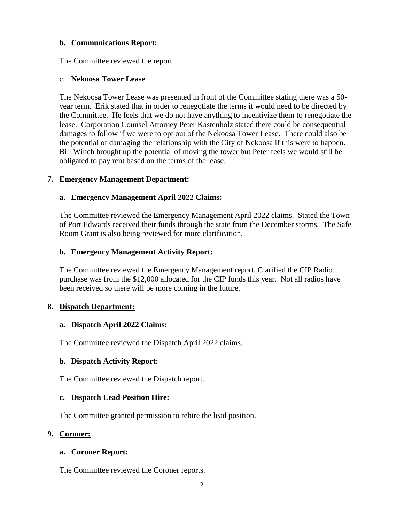## **b. Communications Report:**

The Committee reviewed the report.

#### c. **Nekoosa Tower Lease**

The Nekoosa Tower Lease was presented in front of the Committee stating there was a 50 year term. Erik stated that in order to renegotiate the terms it would need to be directed by the Committee. He feels that we do not have anything to incentivize them to renegotiate the lease. Corporation Counsel Attorney Peter Kastenholz stated there could be consequential damages to follow if we were to opt out of the Nekoosa Tower Lease. There could also be the potential of damaging the relationship with the City of Nekoosa if this were to happen. Bill Winch brought up the potential of moving the tower but Peter feels we would still be obligated to pay rent based on the terms of the lease.

### **7. Emergency Management Department:**

## **a. Emergency Management April 2022 Claims:**

The Committee reviewed the Emergency Management April 2022 claims. Stated the Town of Port Edwards received their funds through the state from the December storms. The Safe Room Grant is also being reviewed for more clarification.

## **b. Emergency Management Activity Report:**

The Committee reviewed the Emergency Management report. Clarified the CIP Radio purchase was from the \$12,000 allocated for the CIP funds this year. Not all radios have been received so there will be more coming in the future.

### **8. Dispatch Department:**

### **a. Dispatch April 2022 Claims:**

The Committee reviewed the Dispatch April 2022 claims.

### **b. Dispatch Activity Report:**

The Committee reviewed the Dispatch report.

### **c. Dispatch Lead Position Hire:**

The Committee granted permission to rehire the lead position.

### **9. Coroner:**

### **a. Coroner Report:**

The Committee reviewed the Coroner reports.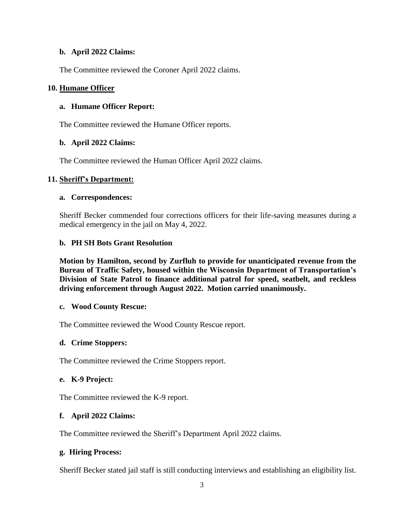### **b. April 2022 Claims:**

The Committee reviewed the Coroner April 2022 claims.

### **10. Humane Officer**

## **a. Humane Officer Report:**

The Committee reviewed the Humane Officer reports.

### **b. April 2022 Claims:**

The Committee reviewed the Human Officer April 2022 claims.

## **11. Sheriff's Department:**

### **a. Correspondences:**

Sheriff Becker commended four corrections officers for their life-saving measures during a medical emergency in the jail on May 4, 2022.

## **b. PH SH Bots Grant Resolution**

**Motion by Hamilton, second by Zurfluh to provide for unanticipated revenue from the Bureau of Traffic Safety, housed within the Wisconsin Department of Transportation's Division of State Patrol to finance additional patrol for speed, seatbelt, and reckless driving enforcement through August 2022. Motion carried unanimously.** 

### **c. Wood County Rescue:**

The Committee reviewed the Wood County Rescue report.

### **d. Crime Stoppers:**

The Committee reviewed the Crime Stoppers report.

### **e. K-9 Project:**

The Committee reviewed the K-9 report.

### **f. April 2022 Claims:**

The Committee reviewed the Sheriff's Department April 2022 claims.

### **g. Hiring Process:**

Sheriff Becker stated jail staff is still conducting interviews and establishing an eligibility list.